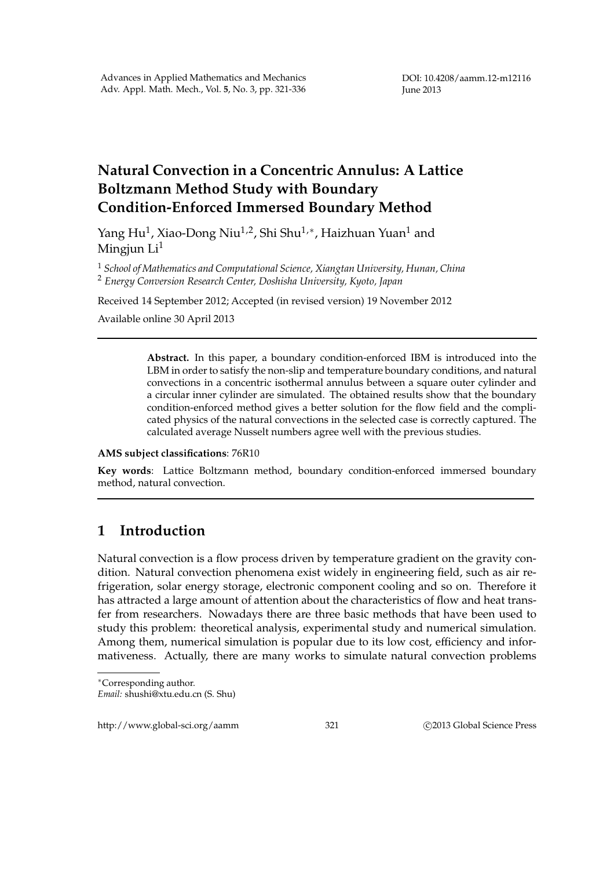# **Natural Convection in a Concentric Annulus: A Lattice Boltzmann Method Study with Boundary Condition-Enforced Immersed Boundary Method**

Yang Hu<sup>1</sup>, Xiao-Dong Niu<sup>1,2</sup>, Shi Shu<sup>1,∗</sup>, Haizhuan Yuan<sup>1</sup> and Mingjun  $Li<sup>1</sup>$ 

<sup>1</sup> *School of Mathematics and Computational Science, Xiangtan University, Hunan, China* <sup>2</sup> *Energy Conversion Research Center, Doshisha University, Kyoto, Japan*

Received 14 September 2012; Accepted (in revised version) 19 November 2012

Available online 30 April 2013

**Abstract.** In this paper, a boundary condition-enforced IBM is introduced into the LBM in order to satisfy the non-slip and temperature boundary conditions, and natural convections in a concentric isothermal annulus between a square outer cylinder and a circular inner cylinder are simulated. The obtained results show that the boundary condition-enforced method gives a better solution for the flow field and the complicated physics of the natural convections in the selected case is correctly captured. The calculated average Nusselt numbers agree well with the previous studies.

**AMS subject classifications**: 76R10

**Key words**: Lattice Boltzmann method, boundary condition-enforced immersed boundary method, natural convection.

# **1 Introduction**

Natural convection is a flow process driven by temperature gradient on the gravity condition. Natural convection phenomena exist widely in engineering field, such as air refrigeration, solar energy storage, electronic component cooling and so on. Therefore it has attracted a large amount of attention about the characteristics of flow and heat transfer from researchers. Nowadays there are three basic methods that have been used to study this problem: theoretical analysis, experimental study and numerical simulation. Among them, numerical simulation is popular due to its low cost, efficiency and informativeness. Actually, there are many works to simulate natural convection problems

http://www.global-sci.org/aamm 321 ©2013 Global Science Press

<sup>∗</sup>Corresponding author.

*Email:* shushi@xtu.edu.cn (S. Shu)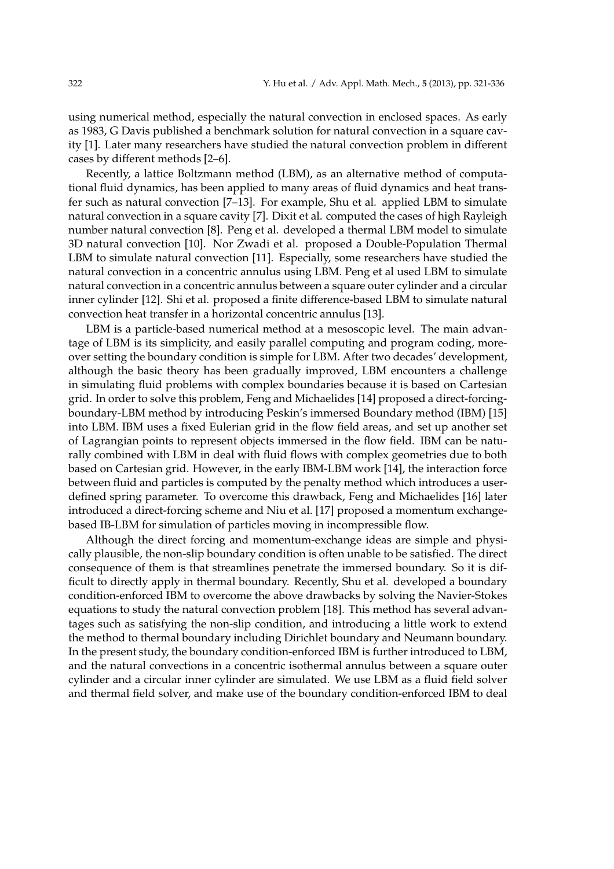using numerical method, especially the natural convection in enclosed spaces. As early as 1983, G Davis published a benchmark solution for natural convection in a square cavity [1]. Later many researchers have studied the natural convection problem in different cases by different methods [2–6].

Recently, a lattice Boltzmann method (LBM), as an alternative method of computational fluid dynamics, has been applied to many areas of fluid dynamics and heat transfer such as natural convection [7–13]. For example, Shu et al. applied LBM to simulate natural convection in a square cavity [7]. Dixit et al. computed the cases of high Rayleigh number natural convection [8]. Peng et al. developed a thermal LBM model to simulate 3D natural convection [10]. Nor Zwadi et al. proposed a Double-Population Thermal LBM to simulate natural convection [11]. Especially, some researchers have studied the natural convection in a concentric annulus using LBM. Peng et al used LBM to simulate natural convection in a concentric annulus between a square outer cylinder and a circular inner cylinder [12]. Shi et al. proposed a finite difference-based LBM to simulate natural convection heat transfer in a horizontal concentric annulus [13].

LBM is a particle-based numerical method at a mesoscopic level. The main advantage of LBM is its simplicity, and easily parallel computing and program coding, moreover setting the boundary condition is simple for LBM. After two decades' development, although the basic theory has been gradually improved, LBM encounters a challenge in simulating fluid problems with complex boundaries because it is based on Cartesian grid. In order to solve this problem, Feng and Michaelides [14] proposed a direct-forcingboundary-LBM method by introducing Peskin's immersed Boundary method (IBM) [15] into LBM. IBM uses a fixed Eulerian grid in the flow field areas, and set up another set of Lagrangian points to represent objects immersed in the flow field. IBM can be naturally combined with LBM in deal with fluid flows with complex geometries due to both based on Cartesian grid. However, in the early IBM-LBM work [14], the interaction force between fluid and particles is computed by the penalty method which introduces a userdefined spring parameter. To overcome this drawback, Feng and Michaelides [16] later introduced a direct-forcing scheme and Niu et al. [17] proposed a momentum exchangebased IB-LBM for simulation of particles moving in incompressible flow.

Although the direct forcing and momentum-exchange ideas are simple and physically plausible, the non-slip boundary condition is often unable to be satisfied. The direct consequence of them is that streamlines penetrate the immersed boundary. So it is difficult to directly apply in thermal boundary. Recently, Shu et al. developed a boundary condition-enforced IBM to overcome the above drawbacks by solving the Navier-Stokes equations to study the natural convection problem [18]. This method has several advantages such as satisfying the non-slip condition, and introducing a little work to extend the method to thermal boundary including Dirichlet boundary and Neumann boundary. In the present study, the boundary condition-enforced IBM is further introduced to LBM, and the natural convections in a concentric isothermal annulus between a square outer cylinder and a circular inner cylinder are simulated. We use LBM as a fluid field solver and thermal field solver, and make use of the boundary condition-enforced IBM to deal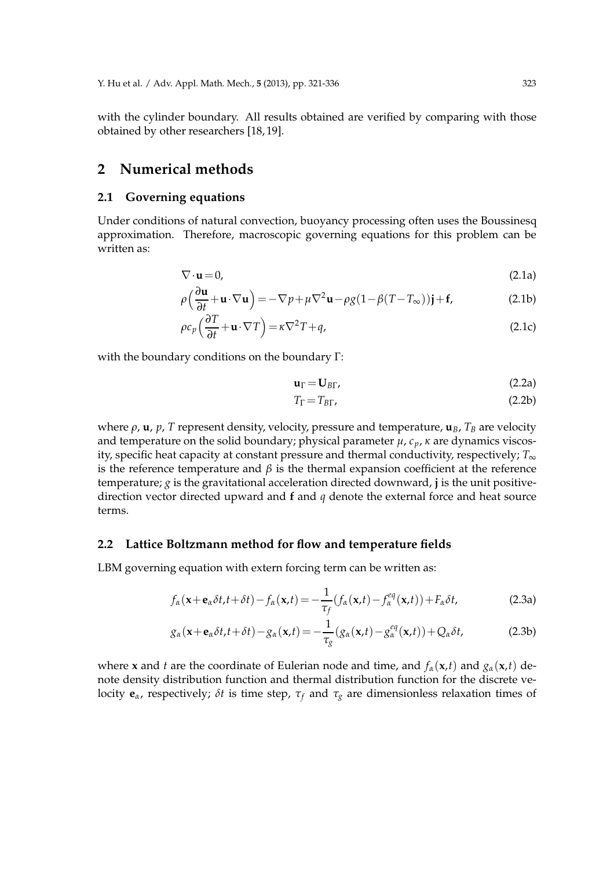with the cylinder boundary. All results obtained are verified by comparing with those obtained by other researchers [18, 19].

## **2 Numerical methods**

### **2.1 Governing equations**

Under conditions of natural convection, buoyancy processing often uses the Boussinesq approximation. Therefore, macroscopic governing equations for this problem can be written as:

$$
\nabla \cdot \mathbf{u} = 0,\tag{2.1a}
$$

$$
\rho\left(\frac{\partial \mathbf{u}}{\partial t} + \mathbf{u} \cdot \nabla \mathbf{u}\right) = -\nabla p + \mu \nabla^2 \mathbf{u} - \rho g (1 - \beta (T - T_{\infty})) \mathbf{j} + \mathbf{f},
$$
\n(2.1b)

$$
\rho c_p \left( \frac{\partial T}{\partial t} + \mathbf{u} \cdot \nabla T \right) = \kappa \nabla^2 T + q,\tag{2.1c}
$$

with the boundary conditions on the boundary Γ:

$$
\mathbf{u}_{\Gamma} = \mathbf{U}_{B\Gamma},\tag{2.2a}
$$

$$
T_{\Gamma} = T_{BT},\tag{2.2b}
$$

where *ρ*, **u**, *p*, *T* represent density, velocity, pressure and temperature, **u***B*, *T<sup>B</sup>* are velocity and temperature on the solid boundary; physical parameter  $\mu$ ,  $c_p$ ,  $\kappa$  are dynamics viscosity, specific heat capacity at constant pressure and thermal conductivity, respectively; *T*∞ is the reference temperature and  $\beta$  is the thermal expansion coefficient at the reference temperature; *g* is the gravitational acceleration directed downward, **j** is the unit positivedirection vector directed upward and **f** and *q* denote the external force and heat source terms.

#### **2.2 Lattice Boltzmann method for flow and temperature fields**

LBM governing equation with extern forcing term can be written as:

$$
f_{\alpha}(\mathbf{x} + \mathbf{e}_{\alpha}\delta t, t + \delta t) - f_{\alpha}(\mathbf{x}, t) = -\frac{1}{\tau_f}(f_{\alpha}(\mathbf{x}, t) - f_{\alpha}^{eq}(\mathbf{x}, t)) + F_{\alpha}\delta t,
$$
 (2.3a)

$$
g_{\alpha}(\mathbf{x} + \mathbf{e}_{\alpha}\delta t, t + \delta t) - g_{\alpha}(\mathbf{x}, t) = -\frac{1}{\tau_{g}}(g_{\alpha}(\mathbf{x}, t) - g_{\alpha}^{eq}(\mathbf{x}, t)) + Q_{\alpha}\delta t,
$$
 (2.3b)

where **x** and *t* are the coordinate of Eulerian node and time, and  $f_\alpha(\mathbf{x}, t)$  and  $g_\alpha(\mathbf{x}, t)$  denote density distribution function and thermal distribution function for the discrete velocity **, respectively;** *δt* **is time step,**  $τ<sub>f</sub>$  **and**  $τ<sub>g</sub>$  **are dimensionless relaxation times of**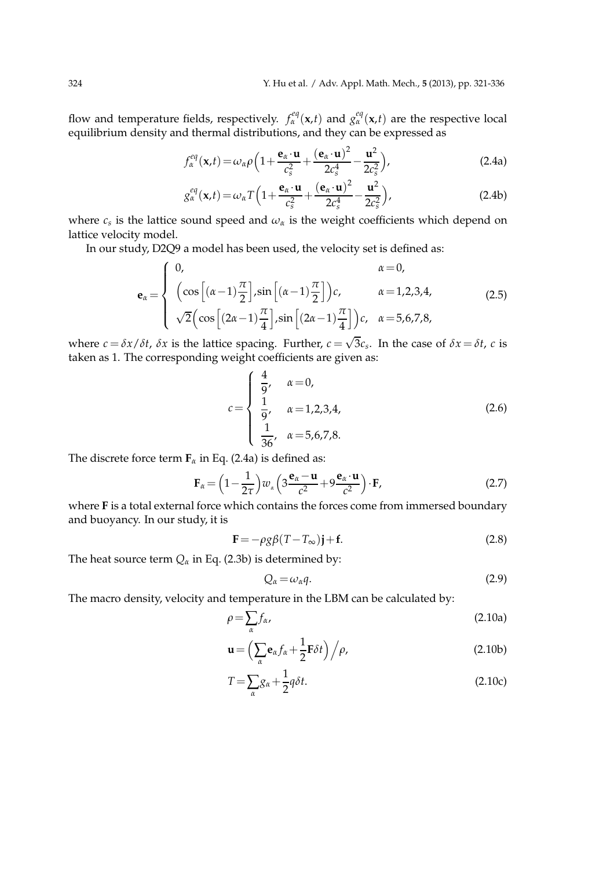flow and temperature fields, respectively.  $f_\alpha^{eq}(\mathbf{x},t)$  and  $g_\alpha^{eq}(\mathbf{x},t)$  are the respective local equilibrium density and thermal distributions, and they can be expressed as

$$
f_{\alpha}^{eq}(\mathbf{x},t) = \omega_{\alpha}\rho \left(1 + \frac{\mathbf{e}_{\alpha} \cdot \mathbf{u}}{c_s^2} + \frac{(\mathbf{e}_{\alpha} \cdot \mathbf{u})^2}{2c_s^4} - \frac{\mathbf{u}^2}{2c_s^2}\right),
$$
(2.4a)

$$
g_{\alpha}^{eq}(\mathbf{x},t) = \omega_{\alpha}T\left(1 + \frac{\mathbf{e}_{\alpha}\cdot\mathbf{u}}{c_{s}^{2}} + \frac{(\mathbf{e}_{\alpha}\cdot\mathbf{u})^{2}}{2c_{s}^{4}} - \frac{\mathbf{u}^{2}}{2c_{s}^{2}}\right),
$$
(2.4b)

where  $c_s$  is the lattice sound speed and  $\omega_\alpha$  is the weight coefficients which depend on lattice velocity model.

In our study, D2Q9 a model has been used, the velocity set is defined as:

$$
\mathbf{e}_{\alpha} = \begin{cases}\n0, & \alpha = 0, \\
\left(\cos\left[\left(\alpha - 1\right)\frac{\pi}{2}\right], \sin\left[\left(\alpha - 1\right)\frac{\pi}{2}\right]\right)c, & \alpha = 1, 2, 3, 4, \\
\sqrt{2}\left(\cos\left[\left(2\alpha - 1\right)\frac{\pi}{4}\right], \sin\left[\left(2\alpha - 1\right)\frac{\pi}{4}\right]\right)c, & \alpha = 5, 6, 7, 8,\n\end{cases}
$$
\n(2.5)

where  $c = \delta x/\delta t$ ,  $\delta x$  is the lattice spacing. Further,  $c = \sqrt{3}c_s$ . In the case of  $\delta x = \delta t$ , *c* is taken as 1. The corresponding weight coefficients are given as:

$$
c = \begin{cases} \frac{4}{9}, & \alpha = 0, \\ \frac{1}{9}, & \alpha = 1, 2, 3, 4, \\ \frac{1}{36}, & \alpha = 5, 6, 7, 8. \end{cases}
$$
(2.6)

The discrete force term  $\mathbf{F}_\alpha$  in Eq. (2.4a) is defined as:

$$
\mathbf{F}_{\alpha} = \left(1 - \frac{1}{2\tau}\right) w_{\alpha} \left(3 \frac{\mathbf{e}_{\alpha} - \mathbf{u}}{c^2} + 9 \frac{\mathbf{e}_{\alpha} \cdot \mathbf{u}}{c^2}\right) \cdot \mathbf{F},\tag{2.7}
$$

where **F** is a total external force which contains the forces come from immersed boundary and buoyancy. In our study, it is

$$
\mathbf{F} = -\rho g \beta (T - T_{\infty}) \mathbf{j} + \mathbf{f}.
$$
 (2.8)

The heat source term  $Q_{\alpha}$  in Eq. (2.3b) is determined by:

$$
Q_{\alpha} = \omega_{\alpha} q. \tag{2.9}
$$

The macro density, velocity and temperature in the LBM can be calculated by:

$$
\rho = \sum_{\alpha} f_{\alpha},\tag{2.10a}
$$

$$
\mathbf{u} = \left(\sum_{\alpha} \mathbf{e}_{\alpha} f_{\alpha} + \frac{1}{2} \mathbf{F} \delta t\right) / \rho, \tag{2.10b}
$$

$$
T = \sum_{\alpha} g_{\alpha} + \frac{1}{2} q \delta t. \tag{2.10c}
$$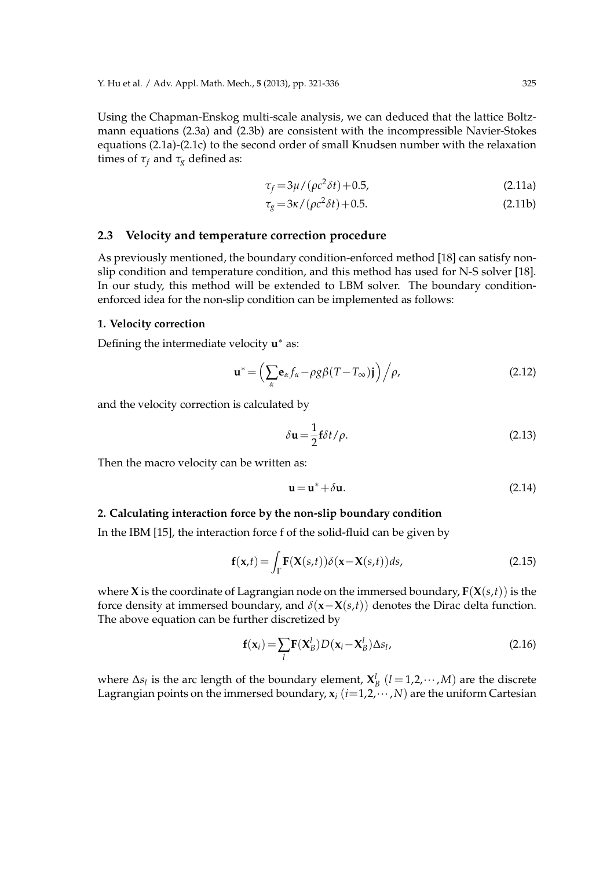Using the Chapman-Enskog multi-scale analysis, we can deduced that the lattice Boltzmann equations (2.3a) and (2.3b) are consistent with the incompressible Navier-Stokes equations (2.1a)-(2.1c) to the second order of small Knudsen number with the relaxation times of  $\tau_f$  and  $\tau_g$  defined as:

$$
\tau_f = 3\mu / (\rho c^2 \delta t) + 0.5,\tag{2.11a}
$$

$$
\tau_g = 3\kappa / (\rho c^2 \delta t) + 0.5.
$$
 (2.11b)

### **2.3 Velocity and temperature correction procedure**

As previously mentioned, the boundary condition-enforced method [18] can satisfy nonslip condition and temperature condition, and this method has used for N-S solver [18]. In our study, this method will be extended to LBM solver. The boundary conditionenforced idea for the non-slip condition can be implemented as follows:

#### **1. Velocity correction**

Defining the intermediate velocity **u** ∗ as:

$$
\mathbf{u}^* = \left(\sum_{\alpha} \mathbf{e}_{\alpha} f_{\alpha} - \rho g \beta (T - T_{\infty}) \mathbf{j}\right) / \rho, \tag{2.12}
$$

and the velocity correction is calculated by

$$
\delta \mathbf{u} = \frac{1}{2} \mathbf{f} \delta t / \rho. \tag{2.13}
$$

Then the macro velocity can be written as:

$$
\mathbf{u} = \mathbf{u}^* + \delta \mathbf{u}.\tag{2.14}
$$

#### **2. Calculating interaction force by the non-slip boundary condition**

In the IBM [15], the interaction force f of the solid-fluid can be given by

$$
\mathbf{f}(\mathbf{x},t) = \int_{\Gamma} \mathbf{F}(\mathbf{X}(s,t)) \delta(\mathbf{x} - \mathbf{X}(s,t)) ds,
$$
 (2.15)

where **X** is the coordinate of Lagrangian node on the immersed boundary, **F**(**X**(*s*,*t*)) is the force density at immersed boundary, and  $\delta(\mathbf{x}-\mathbf{X}(s,t))$  denotes the Dirac delta function. The above equation can be further discretized by

$$
\mathbf{f}(\mathbf{x}_i) = \sum_l \mathbf{F}(\mathbf{X}_B^l) D(\mathbf{x}_i - \mathbf{X}_B^l) \Delta s_l,
$$
 (2.16)

where  $\Delta s_l$  is the arc length of the boundary element,  $\mathbf{X}_{B}^{l}$  ( $l = 1, 2, \cdots, M$ ) are the discrete Lagrangian points on the immersed boundary,  $\mathbf{x}_i$  ( $i=1,2,\dots,N$ ) are the uniform Cartesian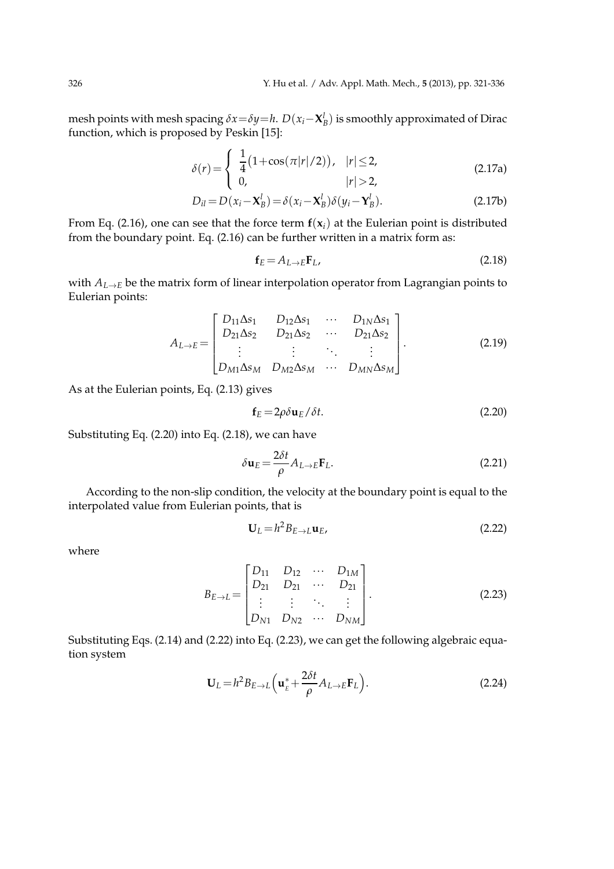mesh points with mesh spacing  $\delta x = \delta y = h$ .  $D(x_i - \mathbf{X}_B^l)$  is smoothly approximated of Dirac function, which is proposed by Peskin [15]:

$$
\delta(r) = \begin{cases} \frac{1}{4} (1 + \cos(\pi|r|/2)), & |r| \le 2, \\ 0, & |r| > 2, \end{cases}
$$
 (2.17a)

$$
D_{il} = D(x_i - \mathbf{X}_B^l) = \delta(x_i - \mathbf{X}_B^l) \delta(y_i - \mathbf{Y}_B^l).
$$
 (2.17b)

From Eq. (2.16), one can see that the force term  $f(x_i)$  at the Eulerian point is distributed from the boundary point. Eq. (2.16) can be further written in a matrix form as:

$$
\mathbf{f}_E = A_{L \to E} \mathbf{F}_L, \tag{2.18}
$$

with *AL*→*<sup>E</sup>* be the matrix form of linear interpolation operator from Lagrangian points to Eulerian points:

$$
A_{L\to E} = \begin{bmatrix} D_{11}\Delta s_1 & D_{12}\Delta s_1 & \cdots & D_{1N}\Delta s_1 \\ D_{21}\Delta s_2 & D_{21}\Delta s_2 & \cdots & D_{21}\Delta s_2 \\ \vdots & \vdots & \ddots & \vdots \\ D_{M1}\Delta s_M & D_{M2}\Delta s_M & \cdots & D_{MN}\Delta s_M \end{bmatrix} .
$$
 (2.19)

As at the Eulerian points, Eq. (2.13) gives

$$
\mathbf{f}_E = 2\rho \delta \mathbf{u}_E / \delta t. \tag{2.20}
$$

Substituting Eq. (2.20) into Eq. (2.18), we can have

$$
\delta \mathbf{u}_E = \frac{2\delta t}{\rho} A_{L \to E} \mathbf{F}_L.
$$
\n(2.21)

According to the non-slip condition, the velocity at the boundary point is equal to the interpolated value from Eulerian points, that is

$$
\mathbf{U}_L = h^2 B_{E \to L} \mathbf{u}_E, \tag{2.22}
$$

where

$$
B_{E\to L} = \begin{bmatrix} D_{11} & D_{12} & \cdots & D_{1M} \\ D_{21} & D_{21} & \cdots & D_{21} \\ \vdots & \vdots & \ddots & \vdots \\ D_{N1} & D_{N2} & \cdots & D_{NM} \end{bmatrix} .
$$
 (2.23)

Substituting Eqs. (2.14) and (2.22) into Eq. (2.23), we can get the following algebraic equation system

$$
\mathbf{U}_L = h^2 B_{E \to L} \left( \mathbf{u}_E^* + \frac{2 \delta t}{\rho} A_{L \to E} \mathbf{F}_L \right).
$$
 (2.24)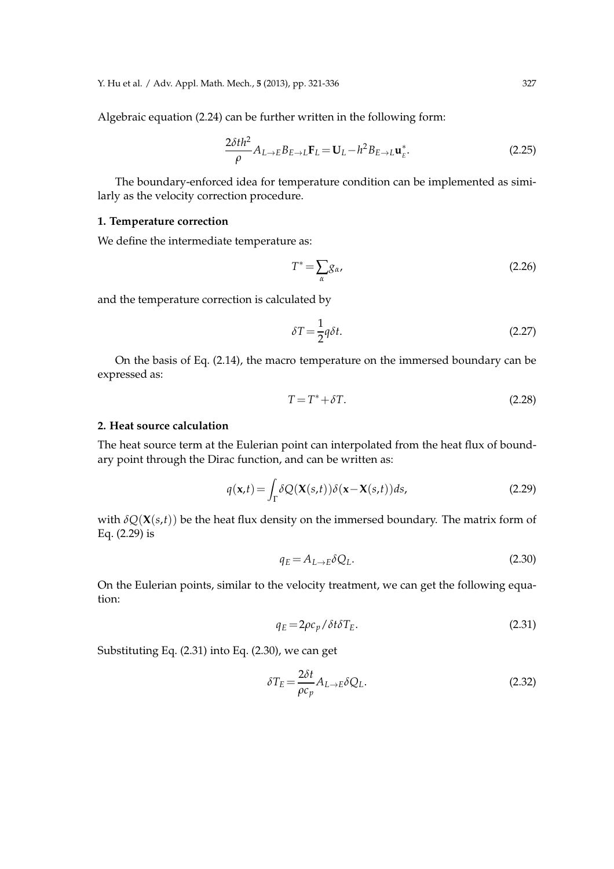Y. Hu et al. / Adv. Appl. Math. Mech., **5** (2013), pp. 321-336 327

Algebraic equation (2.24) can be further written in the following form:

$$
\frac{2\delta th^2}{\rho}A_{L\to E}B_{E\to L}\mathbf{F}_L=\mathbf{U}_L-h^2B_{E\to L}\mathbf{u}_E^*.
$$
 (2.25)

The boundary-enforced idea for temperature condition can be implemented as similarly as the velocity correction procedure.

### **1. Temperature correction**

We define the intermediate temperature as:

$$
T^* = \sum_{\alpha} g_{\alpha}, \tag{2.26}
$$

and the temperature correction is calculated by

$$
\delta T = \frac{1}{2}q\delta t. \tag{2.27}
$$

On the basis of Eq. (2.14), the macro temperature on the immersed boundary can be expressed as:

$$
T = T^* + \delta T. \tag{2.28}
$$

#### **2. Heat source calculation**

The heat source term at the Eulerian point can interpolated from the heat flux of boundary point through the Dirac function, and can be written as:

$$
q(\mathbf{x},t) = \int_{\Gamma} \delta Q(\mathbf{X}(s,t)) \delta(\mathbf{x} - \mathbf{X}(s,t)) ds,
$$
\n(2.29)

with  $\delta Q(\mathbf{X}(s,t))$  be the heat flux density on the immersed boundary. The matrix form of Eq. (2.29) is

$$
q_E = A_{L \to E} \delta Q_L. \tag{2.30}
$$

On the Eulerian points, similar to the velocity treatment, we can get the following equation:

$$
q_E = 2\rho c_p / \delta t \delta T_E. \tag{2.31}
$$

Substituting Eq. (2.31) into Eq. (2.30), we can get

$$
\delta T_E = \frac{2\delta t}{\rho c_p} A_{L \to E} \delta Q_L.
$$
\n(2.32)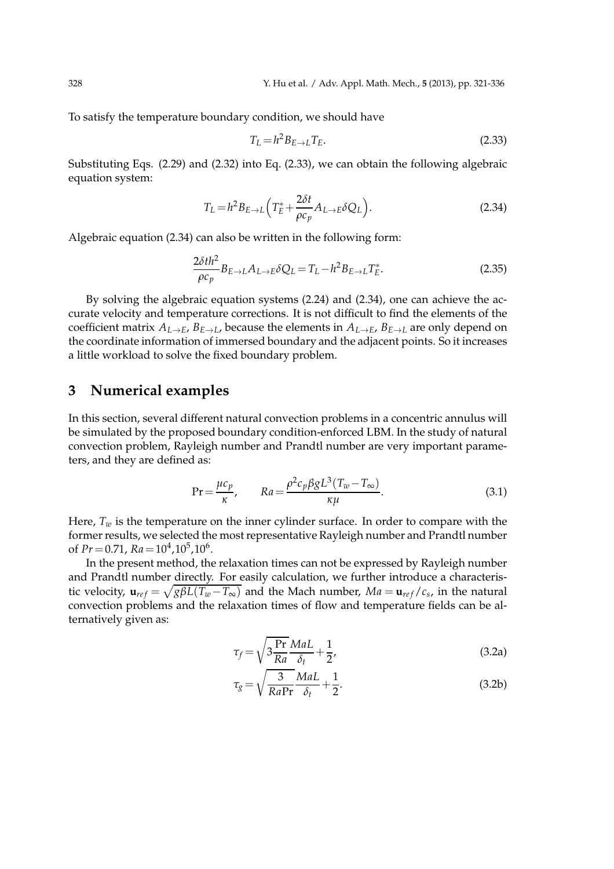To satisfy the temperature boundary condition, we should have

$$
T_L = h^2 B_{E \to L} T_E. \tag{2.33}
$$

Substituting Eqs. (2.29) and (2.32) into Eq. (2.33), we can obtain the following algebraic equation system:

$$
T_L = h^2 B_{E \to L} \left( T_E^* + \frac{2\delta t}{\rho c_p} A_{L \to E} \delta Q_L \right).
$$
 (2.34)

Algebraic equation (2.34) can also be written in the following form:

$$
\frac{2\delta th^2}{\rho c_p} B_{E \to L} A_{L \to E} \delta Q_L = T_L - h^2 B_{E \to L} T_E^*.
$$
\n(2.35)

By solving the algebraic equation systems (2.24) and (2.34), one can achieve the accurate velocity and temperature corrections. It is not difficult to find the elements of the coefficient matrix  $A_{L\to E}$ ,  $B_{E\to L}$ , because the elements in  $A_{L\to E}$ ,  $B_{E\to L}$  are only depend on the coordinate information of immersed boundary and the adjacent points. So it increases a little workload to solve the fixed boundary problem.

### **3 Numerical examples**

In this section, several different natural convection problems in a concentric annulus will be simulated by the proposed boundary condition-enforced LBM. In the study of natural convection problem, Rayleigh number and Prandtl number are very important parameters, and they are defined as:

$$
\Pr = \frac{\mu c_p}{\kappa}, \qquad Ra = \frac{\rho^2 c_p \beta g L^3 (T_w - T_\infty)}{\kappa \mu}.
$$
\n(3.1)

Here,  $T_w$  is the temperature on the inner cylinder surface. In order to compare with the former results, we selected the most representative Rayleigh number and Prandtl number of  $Pr = 0.71$ ,  $Ra = 10<sup>4</sup>, 10<sup>5</sup>, 10<sup>6</sup>$ .

In the present method, the relaxation times can not be expressed by Rayleigh number and Prandtl number directly. For easily calculation, we further introduce a characteristic velocity,  $\mathbf{u}_{ref} = \sqrt{g\beta L(T_w - T_{\infty})}$  and the Mach number,  $Ma = \mathbf{u}_{ref}/c_s$ , in the natural convection problems and the relaxation times of flow and temperature fields can be alternatively given as:

$$
\tau_f = \sqrt{3\frac{\text{Pr}}{Ra}} \frac{MaL}{\delta_t} + \frac{1}{2},\tag{3.2a}
$$

$$
\tau_g = \sqrt{\frac{3}{RaPr}} \frac{MaL}{\delta_t} + \frac{1}{2}.
$$
\n(3.2b)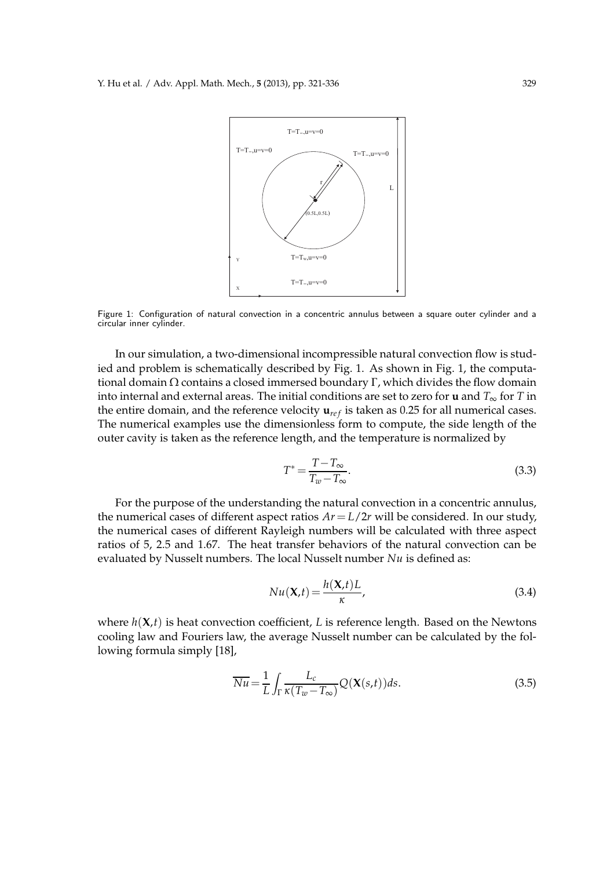

Figure 1: Configuration of natural convection in a concentric annulus between a square outer cylinder and a circular inner cylinder.

In our simulation, a two-dimensional incompressible natural convection flow is studied and problem is schematically described by Fig. 1. As shown in Fig. 1, the computational domain  $Ω$  contains a closed immersed boundary Γ, which divides the flow domain into internal and external areas. The initial conditions are set to zero for **u** and *T*∞ for *T* in the entire domain, and the reference velocity  $\mathbf{u}_{ref}$  is taken as 0.25 for all numerical cases. The numerical examples use the dimensionless form to compute, the side length of the outer cavity is taken as the reference length, and the temperature is normalized by

$$
T^* = \frac{T - T_{\infty}}{T_w - T_{\infty}}.\tag{3.3}
$$

For the purpose of the understanding the natural convection in a concentric annulus, the numerical cases of different aspect ratios  $Ar = L/2r$  will be considered. In our study, the numerical cases of different Rayleigh numbers will be calculated with three aspect ratios of 5, 2.5 and 1.67. The heat transfer behaviors of the natural convection can be evaluated by Nusselt numbers. The local Nusselt number *Nu* is defined as:

$$
Nu(\mathbf{X},t) = \frac{h(\mathbf{X},t)L}{\kappa},
$$
\n(3.4)

where  $h(X,t)$  is heat convection coefficient, *L* is reference length. Based on the Newtons cooling law and Fouriers law, the average Nusselt number can be calculated by the following formula simply [18],

$$
\overline{Nu} = \frac{1}{L} \int_{\Gamma} \frac{L_c}{\kappa (T_w - T_\infty)} Q(\mathbf{X}(s, t)) ds.
$$
 (3.5)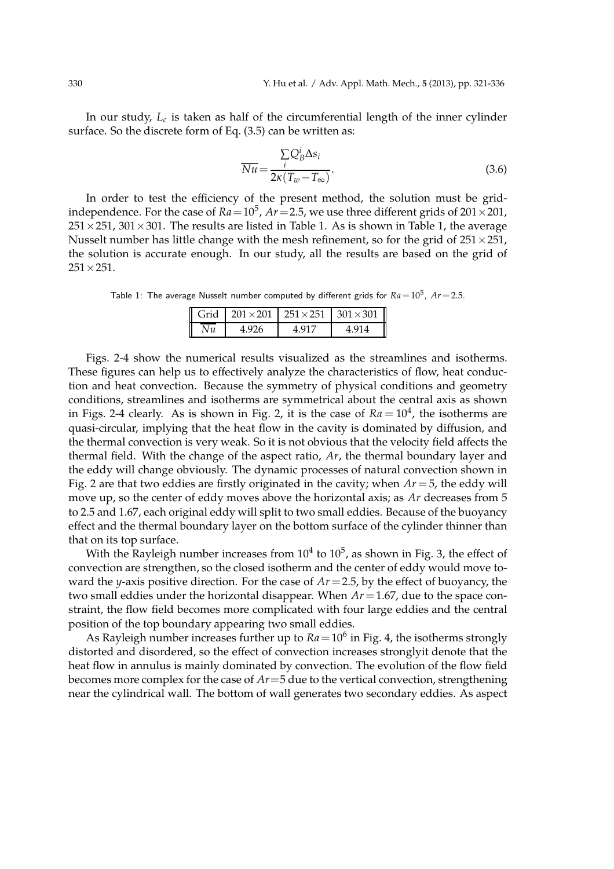In our study, *L<sup>c</sup>* is taken as half of the circumferential length of the inner cylinder surface. So the discrete form of Eq. (3.5) can be written as:

$$
\overline{Nu} = \frac{\sum_{i} Q_B^i \Delta s_i}{2\kappa (T_w - T_\infty)}.
$$
\n(3.6)

In order to test the efficiency of the present method, the solution must be gridindependence. For the case of  $Ra = 10^5$ ,  $Ar = 2.5$ , we use three different grids of  $201 \times 201$ ,  $251\times251$ ,  $301\times301$ . The results are listed in Table 1. As is shown in Table 1, the average Nusselt number has little change with the mesh refinement, so for the grid of  $251 \times 251$ , the solution is accurate enough. In our study, all the results are based on the grid of  $251 \times 251$ .

Table 1: The average Nusselt number computed by different grids for  $Ra\!=\!10^5$ ,  $Ar\!=\!2.5.$ 

|             |       |       | Grid 201 × 201 251 × 251 301 × 301 |
|-------------|-------|-------|------------------------------------|
| $\sqrt{Nu}$ | 4.926 | 4.917 | 4.914                              |

Figs. 2-4 show the numerical results visualized as the streamlines and isotherms. These figures can help us to effectively analyze the characteristics of flow, heat conduction and heat convection. Because the symmetry of physical conditions and geometry conditions, streamlines and isotherms are symmetrical about the central axis as shown in Figs. 2-4 clearly. As is shown in Fig. 2, it is the case of  $Ra = 10<sup>4</sup>$ , the isotherms are quasi-circular, implying that the heat flow in the cavity is dominated by diffusion, and the thermal convection is very weak. So it is not obvious that the velocity field affects the thermal field. With the change of the aspect ratio, *Ar*, the thermal boundary layer and the eddy will change obviously. The dynamic processes of natural convection shown in Fig. 2 are that two eddies are firstly originated in the cavity; when *Ar*=5, the eddy will move up, so the center of eddy moves above the horizontal axis; as *Ar* decreases from 5 to 2.5 and 1.67, each original eddy will split to two small eddies. Because of the buoyancy effect and the thermal boundary layer on the bottom surface of the cylinder thinner than that on its top surface.

With the Rayleigh number increases from  $10^4$  to  $10^5$ , as shown in Fig. 3, the effect of convection are strengthen, so the closed isotherm and the center of eddy would move toward the *y*-axis positive direction. For the case of *Ar*=2.5, by the effect of buoyancy, the two small eddies under the horizontal disappear. When *Ar*=1.67, due to the space constraint, the flow field becomes more complicated with four large eddies and the central position of the top boundary appearing two small eddies.

As Rayleigh number increases further up to  $Ra\!=\!10^6$  in Fig. 4, the isotherms strongly distorted and disordered, so the effect of convection increases stronglyit denote that the heat flow in annulus is mainly dominated by convection. The evolution of the flow field becomes more complex for the case of *Ar*=5 due to the vertical convection, strengthening near the cylindrical wall. The bottom of wall generates two secondary eddies. As aspect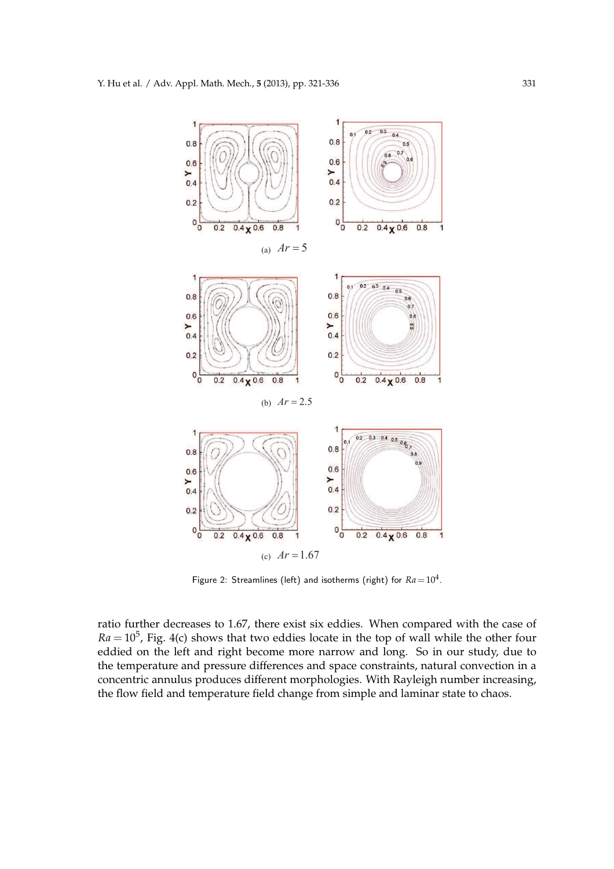

Figure 2: Streamlines (left) and isotherms (right) for  $Ra = 10^4$ .

ratio further decreases to 1.67, there exist six eddies. When compared with the case of  $Ra = 10<sup>5</sup>$ , Fig. 4(c) shows that two eddies locate in the top of wall while the other four eddied on the left and right become more narrow and long. So in our study, due to the temperature and pressure differences and space constraints, natural convection in a concentric annulus produces different morphologies. With Rayleigh number increasing, the flow field and temperature field change from simple and laminar state to chaos.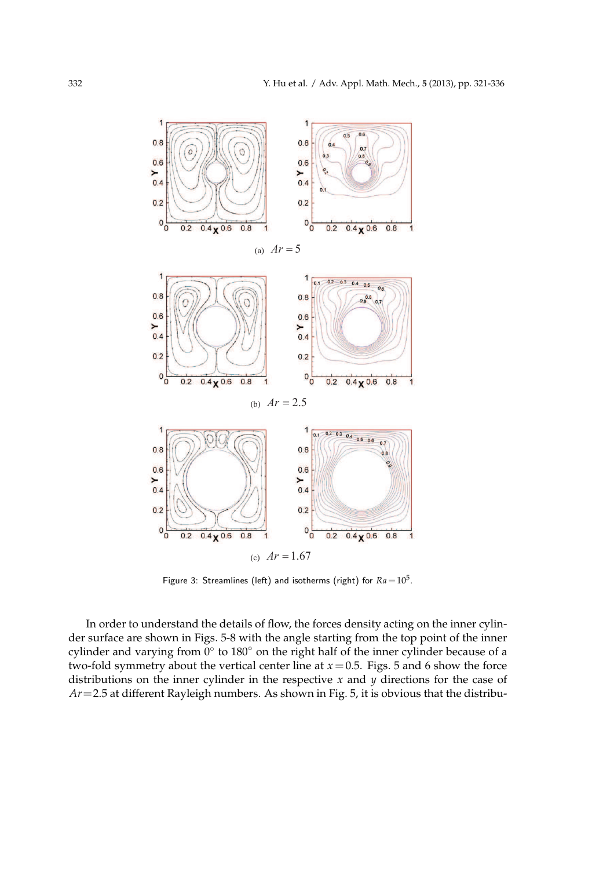

Figure 3: Streamlines (left) and isotherms (right) for  $Ra = 10^5$ .

In order to understand the details of flow, the forces density acting on the inner cylinder surface are shown in Figs. 5-8 with the angle starting from the top point of the inner cylinder and varying from  $0^{\circ}$  to  $180^{\circ}$  on the right half of the inner cylinder because of a two-fold symmetry about the vertical center line at  $x = 0.5$ . Figs. 5 and 6 show the force distributions on the inner cylinder in the respective *x* and *y* directions for the case of *Ar*=2.5 at different Rayleigh numbers. As shown in Fig. 5, it is obvious that the distribu-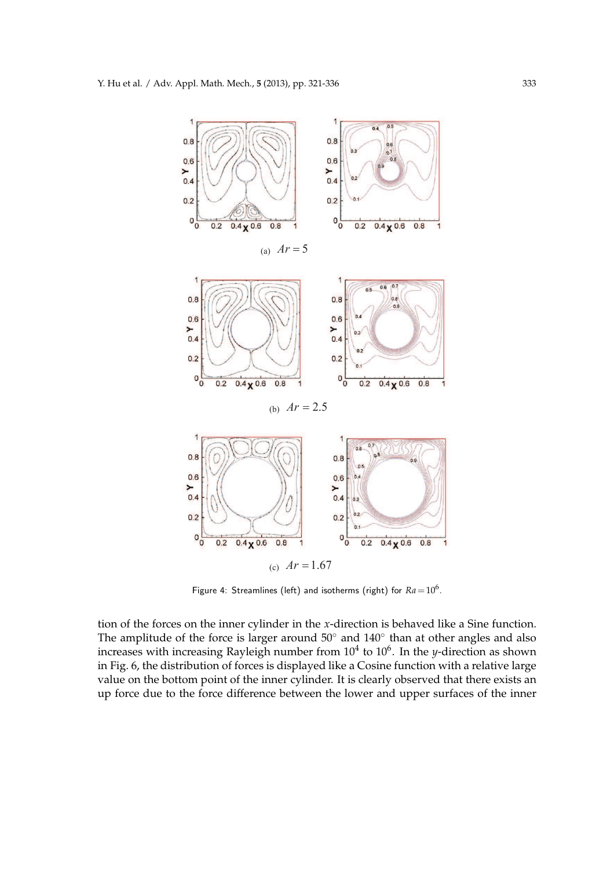

Figure 4: Streamlines (left) and isotherms (right) for  $Ra = 10^6$ .

tion of the forces on the inner cylinder in the *x*-direction is behaved like a Sine function. The amplitude of the force is larger around 50 $^{\circ}$  and 140 $^{\circ}$  than at other angles and also increases with increasing Rayleigh number from  $10^4$  to  $10^6$ . In the *y*-direction as shown in Fig. 6, the distribution of forces is displayed like a Cosine function with a relative large value on the bottom point of the inner cylinder. It is clearly observed that there exists an up force due to the force difference between the lower and upper surfaces of the inner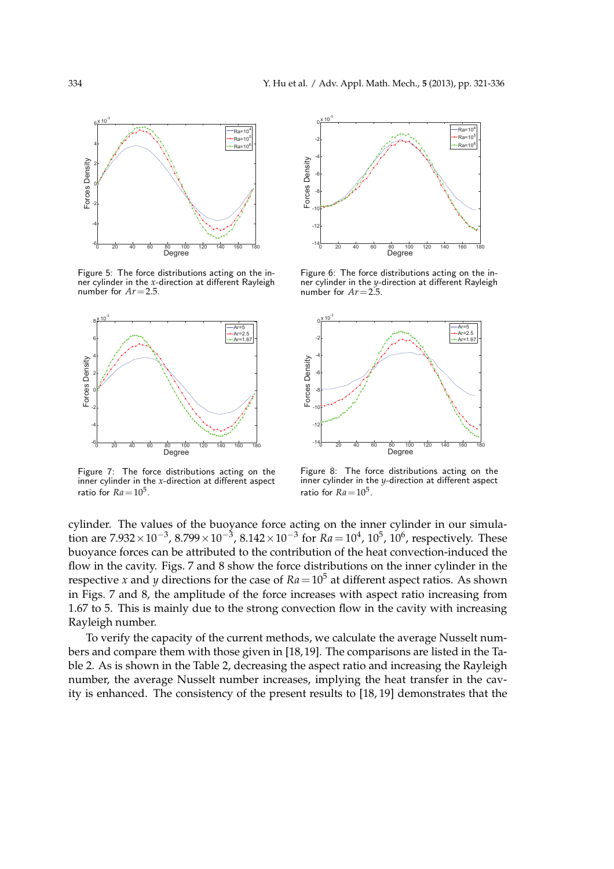

Figure 5: The force distributions acting on the inner cylinder in the *x*-direction at different Rayleigh number for *Ar*=2.5.



inner cylinder in the  $x$ -direction at different aspect ratio for  $Ra = 10^5$ . Figure 7: The force distributions acting on the



 $\frac{1}{2}$ Figure 6: The force distributions acting on the inner cylinder in the *y*-direction at different Rayleigh number for *Ar*=2.5.



inner cylinder in the  $y$ -direction at different aspect Figure 8: The force distributions acting on the ratio for  $Ra = 10^5$ .

cylinder. The values of the buoyance force acting on the inner cylinder in our simulation are  $7.932 \times 10^{-3}$ ,  $8.799 \times 10^{-3}$ ,  $8.142 \times 10^{-3}$  for  $Ra = 10^{4}$ ,  $10^{5}$ ,  $10^{6}$ , respectively. These buoyance forces can be attributed to the contribution of the heat convection-induced the flow in the cavity. Figs. 7 and 8 show the force distributions on the inner cylinder in the respective *x* and *y* directions for the case of  $Ra = 10^5$  at different aspect ratios. As shown in Figs. 7 and 8, the amplitude of the force increases with aspect ratio increasing from 1.67 to 5. This is mainly due to the strong convection flow in the cavity with increasing Rayleigh number.

To verify the capacity of the current methods, we calculate the average Nusselt numbers and compare them with those given in [18, 19]. The comparisons are listed in the Table 2. As is shown in the Table 2, decreasing the aspect ratio and increasing the Rayleigh number, the average Nusselt number increases, implying the heat transfer in the cavity is enhanced. The consistency of the present results to [18, 19] demonstrates that the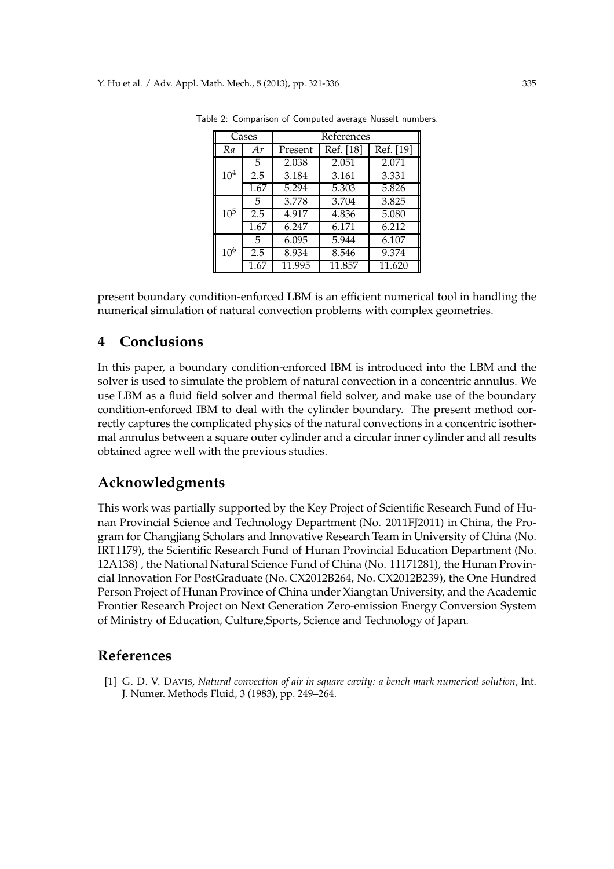| Cases    |      | References         |           |           |  |
|----------|------|--------------------|-----------|-----------|--|
| Ra       | Ar   | Present            | Ref. [18] | Ref. [19] |  |
| $10^{4}$ | 5    | 2.038              | 2.051     | 2.071     |  |
|          | 2.5  | 3.184              | 3.161     | 3.331     |  |
|          | 1.67 | 5.294              | 5.303     | 5.826     |  |
| $10^{5}$ | 5    | 3.778              | 3.704     | 3.825     |  |
|          | 2.5  | $\overline{4.917}$ | 4.836     | 5.080     |  |
|          | 1.67 | 6.247              | 6.171     | 6.212     |  |
| $10^{6}$ | 5    | 6.095              | 5.944     | 6.107     |  |
|          | 2.5  | 8.934              | 8.546     | 9.374     |  |
|          | 1.67 | 11.995             | 11.857    | 11.620    |  |

Table 2: Comparison of Computed average Nusselt numbers.

present boundary condition-enforced LBM is an efficient numerical tool in handling the numerical simulation of natural convection problems with complex geometries.

# **4 Conclusions**

In this paper, a boundary condition-enforced IBM is introduced into the LBM and the solver is used to simulate the problem of natural convection in a concentric annulus. We use LBM as a fluid field solver and thermal field solver, and make use of the boundary condition-enforced IBM to deal with the cylinder boundary. The present method correctly captures the complicated physics of the natural convections in a concentric isothermal annulus between a square outer cylinder and a circular inner cylinder and all results obtained agree well with the previous studies.

# **Acknowledgments**

This work was partially supported by the Key Project of Scientific Research Fund of Hunan Provincial Science and Technology Department (No. 2011FJ2011) in China, the Program for Changjiang Scholars and Innovative Research Team in University of China (No. IRT1179), the Scientific Research Fund of Hunan Provincial Education Department (No. 12A138) , the National Natural Science Fund of China (No. 11171281), the Hunan Provincial Innovation For PostGraduate (No. CX2012B264, No. CX2012B239), the One Hundred Person Project of Hunan Province of China under Xiangtan University, and the Academic Frontier Research Project on Next Generation Zero-emission Energy Conversion System of Ministry of Education, Culture,Sports, Science and Technology of Japan.

### **References**

[1] G. D. V. DAVIS, *Natural convection of air in square cavity: a bench mark numerical solution*, Int. J. Numer. Methods Fluid, 3 (1983), pp. 249–264.